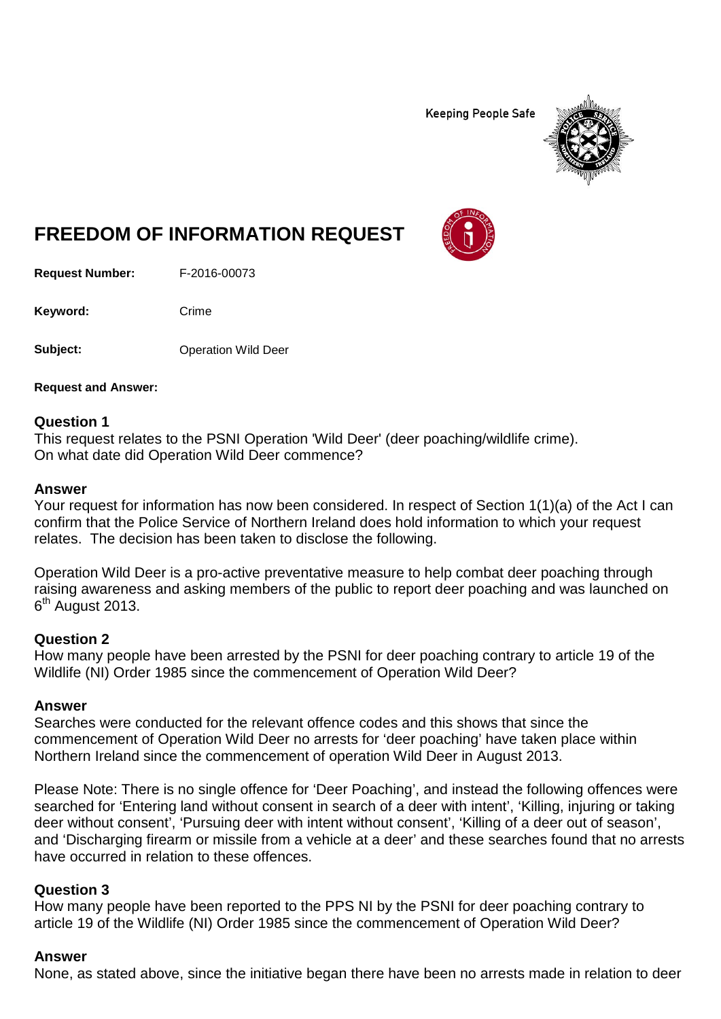**Keeping People Safe** 



# **FREEDOM OF INFORMATION REQUEST**

**Request Number:** F-2016-00073

Keyword: Crime

**Subject:** Operation Wild Deer

**Request and Answer:**

#### **Question 1**

This request relates to the PSNI Operation 'Wild Deer' (deer poaching/wildlife crime). On what date did Operation Wild Deer commence?

#### **Answer**

Your request for information has now been considered. In respect of Section 1(1)(a) of the Act I can confirm that the Police Service of Northern Ireland does hold information to which your request relates. The decision has been taken to disclose the following.

Operation Wild Deer is a pro-active preventative measure to help combat deer poaching through raising awareness and asking members of the public to report deer poaching and was launched on  $6<sup>th</sup>$  August 2013.

#### **Question 2**

How many people have been arrested by the PSNI for deer poaching contrary to article 19 of the Wildlife (NI) Order 1985 since the commencement of Operation Wild Deer?

#### **Answer**

Searches were conducted for the relevant offence codes and this shows that since the commencement of Operation Wild Deer no arrests for 'deer poaching' have taken place within Northern Ireland since the commencement of operation Wild Deer in August 2013.

Please Note: There is no single offence for 'Deer Poaching', and instead the following offences were searched for 'Entering land without consent in search of a deer with intent', 'Killing, injuring or taking deer without consent', 'Pursuing deer with intent without consent', 'Killing of a deer out of season', and 'Discharging firearm or missile from a vehicle at a deer' and these searches found that no arrests have occurred in relation to these offences.

#### **Question 3**

How many people have been reported to the PPS NI by the PSNI for deer poaching contrary to article 19 of the Wildlife (NI) Order 1985 since the commencement of Operation Wild Deer?

#### **Answer**

None, as stated above, since the initiative began there have been no arrests made in relation to deer